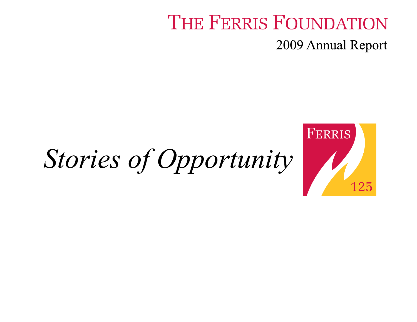# THE FERRIS FOUNDATION

2009 Annual Report

# Stories of Opportunity

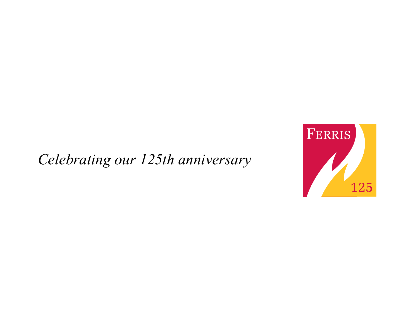# *Celebrating our 125th anniversary*

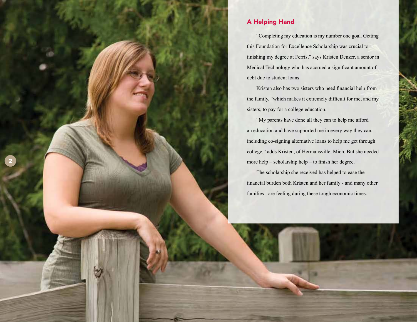

# A Helping Hand

"Completing my education is my number one goal. Getting this Foundation for Excellence Scholarship was crucial to finishing my degree at Ferris," says Kristen Denzer, a senior in Medical Technology who has accrued a significant amount of debt due to student loans.

Kristen also has two sisters who need financial help from the family, "which makes it extremely difficult for me, and my sisters, to pay for a college education.

"My parents have done all they can to help me afford an education and have supported me in every way they can, including co-signing alternative loans to help me get through college," adds Kristen, of Hermansville, Mich. But she needed more help – scholarship help – to finish her degree.

The scholarship she received has helped to ease the financial burden both Kristen and her family - and many other families - are feeling during these tough economic times.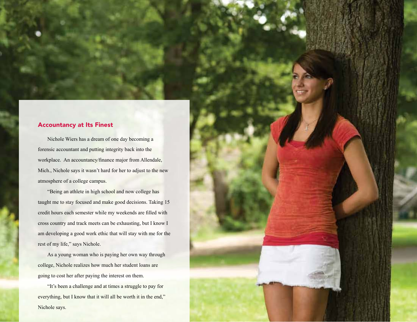# Accountancy at Its Finest

Nichole Wiers has a dream of one day becoming a forensic accountant and putting integrity back into the workplace. An accountancy/finance major from Allendale, Mich., Nichole says it wasn't hard for her to adjust to the new atmosphere of a college campus.

"Being an athlete in high school and now college has taught me to stay focused and make good decisions. Taking 15 credit hours each semester while my weekends are filled with cross country and track meets can be exhausting, but I know I am developing a good work ethic that will stay with me for the rest of my life," says Nichole.

As a young woman who is paying her own way through college, Nichole realizes how much her student loans are going to cost her after paying the interest on them.

"It's been a challenge and at times a struggle to pay for everything, but I know that it will all be worth it in the end," Nichole says.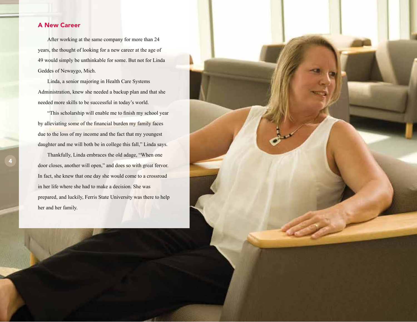### A New Career

4

After working at the same company for more than 24 years, the thought of looking for a new career at the age of 49 would simply be unthinkable for some. But not for Linda Geddes of Newaygo, Mich.

Linda, a senior majoring in Health Care Systems Administration, knew she needed a backup plan and that she needed more skills to be successful in today's world.

"This scholarship will enable me to finish my school year by alleviating some of the financial burden my family faces due to the loss of my income and the fact that my youngest daughter and me will both be in college this fall," Linda says.

Thankfully, Linda embraces the old adage, "When one door closes, another will open," and does so with great fervor. In fact, she knew that one day she would come to a crossroad in her life where she had to make a decision. She was prepared, and luckily, Ferris State University was there to help her and her family.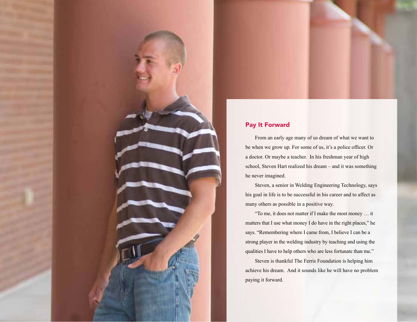

# Pay It Forward

 From an early age many of us dream of what we want to be when we grow up. For some of us, it's a police officer. Or a doctor. Or maybe a teacher. In his freshman year of high school, Steven Hart realized his dream – and it was something he never imagined.

 Steven, a senior in Welding Engineering Technology, says his goal in life is to be successful in his career and to affect as many others as possible in a positive way.

"To me, it does not matter if I make the most money … it matters that I use what money I do have in the right places," he says. "Remembering where I came from, I believe I can be a strong player in the welding industry by teaching and using the qualities I have to help others who are less fortunate than me."

 Steven is thankful The Ferris Foundation is helping him achieve his dream. And it sounds like he will have no problem paying it forward.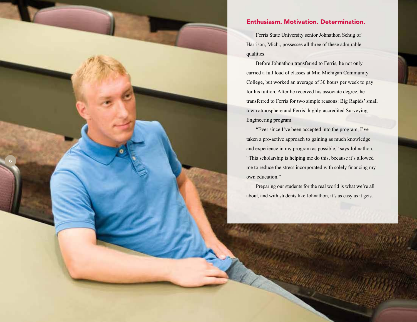

#### Enthusiasm. Motivation. Determination.

Ferris State University senior Johnathon Schug of Harrison, Mich., possesses all three of these admirable qualities.

Before Johnathon transferred to Ferris, he not only carried a full load of classes at Mid Michigan Community College, but worked an average of 30 hours per week to pay for his tuition. After he received his associate degree, he transferred to Ferris for two simple reasons: Big Rapids' small town atmosphere and Ferris' highly-accredited Surveying Engineering program.

"Ever since I've been accepted into the program, I've taken a pro-active approach to gaining as much knowledge and experience in my program as possible," says Johnathon. "This scholarship is helping me do this, because it's allowed me to reduce the stress incorporated with solely financing my own education."

Preparing our students for the real world is what we're all about, and with students like Johnathon, it's as easy as it gets.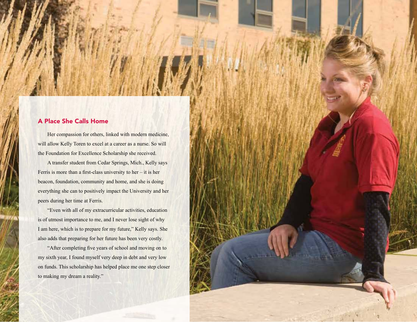# A Place She Calls Home

Her compassion for others, linked with modern medicine, will allow Kelly Toren to excel at a career as a nurse. So will the Foundation for Excellence Scholarship she received.

A transfer student from Cedar Springs, Mich., Kelly says Ferris is more than a first-class university to her  $-$  it is her beacon, foundation, community and home, and she is doing everything she can to positively impact the University and her peers during her time at Ferris.

"Even with all of my extracurricular activities, education is of utmost importance to me, and I never lose sight of why I am here, which is to prepare for my future," Kelly says. She also adds that preparing for her future has been very costly.

"After completing five years of school and moving on to my sixth year, I found myself very deep in debt and very low on funds. This scholarship has helped place me one step closer to making my dream a reality."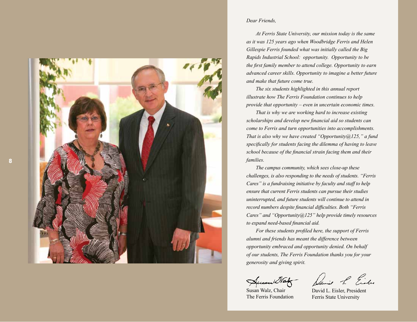

8

#### *Dear Friends,*

*At Ferris State University, our mission today is the same as it was 125 years ago when Woodbridge Ferris and Helen Gillespie Ferris founded what was initially called the Big Rapids Industrial School: opportunity. Opportunity to be the first family member to attend college. Opportunity to earn advanced career skills. Opportunity to imagine a better future and make that future come true.* 

*The six students highlighted in this annual report illustrate how The Ferris Foundation continues to help provide that opportunity – even in uncertain economic times.* 

*That is why we are working hard to increase existing scholarships and develop new financial aid so students can come to Ferris and turn opportunities into accomplishments. That is also why we have created "Opportunity@125," a fund specifically for students facing the dilemma of having to leave school because of the financial strain facing them and their families.* 

*The campus community, which sees close-up these challenges, is also responding to the needs of students. "Ferris Cares" is a fundraising initiative by faculty and staff to help ensure that current Ferris students can pursue their studies uninterrupted, and future students will continue to attend in record numbers despite financial difficulties. Both "Ferris Cares" and "Opportunity@125" help provide timely resources to expand need-based financial aid.*

*For these students profiled here, the support of Ferris alumni and friends has meant the difference between opportunity embraced and opportunity denied. On behalf of our students, The Ferris Foundation thanks you for your generosity and giving spirit.*

reans/Na

Daniel L'Éisles

Susan Walz, Chair The Ferris Foundation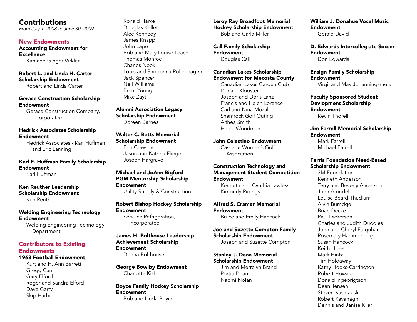**Contributions** *From July 1, 2008 to June 30, 2009*

#### New Endowments

Accounting Endowment for Excellence Kim and Ginger Virkler

#### Robert L. and Linda H. Carter Scholarship Endowment

Robert and Linda Carter

#### Gerace Construction Scholarship Endowment

Gerace Construction Company, Incorporated

#### Hedrick Associates Scholarship Endowment

Hedrick Associates - Karl Huffman and Eric Lanning

#### Karl E. Huffman Family Scholarship Endowment Karl Huffman

# Ken Reuther Leadership Scholarship Endowment

Ken Reuther

#### Welding Engineering Technology Endowment

 Welding Engineering Technology **Department** 

#### Contributors to Existing **Endowments**

#### 1968 Football Endowment

Kurt and H. Ann Barrett Gregg Carr Gary Elford Roger and Sandra Elford Dave Garty Skip Harbin

 Ronald Harke Douglas Keller Alec Kennedy James Knapp John Lape Bob and Mary Louise Leach Thomas Monroe Charles Nook Louis and Shodonna Rollenhagen Jack Spencer Neil Williams Brent Young Mike Zayti

Alumni Association Legacy Scholarship Endowment Doreen Barnes

#### Walter C. Betts Memorial Scholarship Endowment Erin Crawford Jason and Katrina Fliegel Joseph Hargrave

#### Michael and JoAnn Bigford PGM Mentorship Scholarship Endowment Utility Supply & Construction

#### Robert Bishop Hockey Scholarship Endowment

 Serv-Ice Refrigeration, Incorporated

# James H. Bolthouse Leadership Achievement Scholarship Endowment

Donna Bolthouse

#### George Bowlby Endowment Charlotte Kish

#### Boyce Family Hockey Scholarship Endowment Bob and Linda Boyce

Leroy Ray Broadfoot Memorial Hockey Scholarship Endowment Bob and Carla Miller

Call Family Scholarship Endowment Douglas Call

#### Canadian Lakes Scholarship Endowment for Mecosta County

Canadian Lakes Garden Club Donald Klooster Joseph and Doris Lanz Francis and Helen Lorence Carl and Nina Mozal Shamrock Golf Outing Althea Smith Helen Woodman

John Celestino Endowment Cascade Women's Golf

Association

#### Construction Technology and Management Student Competition Endowment

Kenneth and Cynthia Lawless Kimberly Ridings

#### Alfred S. Cramer Memorial Endowment

Bruce and Emily Hancock

# Joe and Suzette Compton Family Scholarship Endowment

Joseph and Suzette Compton

#### Stanley J. Dean Memorial Scholarship Endowment Jim and Merrelyn Brand Portia Dean Naomi Nolan

William J. Donahue Vocal Music Endowment Gerald David

D. Edwards Intercollegiate Soccer Endowment Don Edwards

#### Ensign Family Scholarship Endowment

Virgil and May Johanningsmeier

#### Faculty Sponsored Student Devlopment Scholarship Endowment Kevin Thorell

#### Jim Farrell Memorial Scholarship Endowment

 Mark Farrell Michael Farrell

#### Ferris Foundation Need-Based Scholarship Endowment

 3M Foundation Kenneth Anderson Terry and Beverly Anderson John Arundel Louise Beard-Thudium Alvin Burridge Brian Decke Paul Dickerson Charles and Judith Duddles John and Cheryl Farquhar Rosemary Hammerberg Susan Hancock Keith Hines Mark Hintz Tim Holdaway Kathy Hooks-Carrington Robert Howard Donald Ingebrigtson Dean Jensen Steven Kasmauski Robert Kavanagh Dennis and Janise Kilar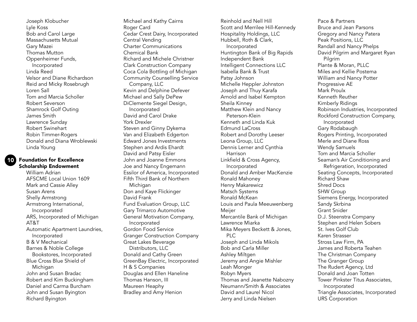Joseph Klobucher Lyle Koss Bob and Carol Large Massachusetts Mutual Gary Mazei Thomas Mutton Oppenheimer Funds, Incorporated Linda Reed Velsor and Diane Richardson Reid and Micky Rosebrugh Loren Sall Tom and Marcia Scholler Robert Severson Shamrock Golf Outing James Smith Lawrence Sunday Robert Swinehart Robin Timmer-Rogers Donald and Diana Wroblewski Linda Young

10

Foundation for Excellence Scholarship Endowment

William Adrian AFSCME Local Union 1609 Mark and Cassie Alley Susan Arens Shelly Armstrong Armstrong International, Incorporated ARS, Incorporated of Michigan AT&T Automatic Apartment Laundries, Incorporated B & V Mechanical Barnes & Noble College Bookstores, Incorporated Blue Cross Blue Shield of **Michigan** John and Susan Bradac Robert and Kim Buckingham Daniel and Carma Burcham John and Susan Byington Richard Byington

 Michael and Kathy Cairns Roger Card Cedar Crest Dairy, Incorporated Central Vending Charter Communications Chemical Bank Richard and Michele Christner Clark Construction Company Coca Cola Bottling of Michigan Community Counselling Service Company, LLC Kevin and Delphine Defever Michael and Sally DePew DiClemente Siegel Design, Incorporated David and Carol Drake York Drexler Steven and Ginny Dykema Van and Elizabeth Edgerton Edward Jones Investments Stephen and Ardis Ehardt David and Patsy Eisler John and Joanne Emmons Joe and Nancy Engemann Essilor of America, Incorporated Fifth Third Bank of Northern **Michigan**  Don and Kaye Flickinger David Frank Fund Evaluation Group, LLC Gary Trimarco Automotive General Motivation Company, Incorporated Gordon Food Service Granger Construction Company Great Lakes Beverage Distributors, LLC Donald and Cathy Green GreenBay Electric, Incorporated H & S Companies Douglas and Ellen Haneline Thomas Hanson, III Maureen Heaphy Bradley and Amy Henion

Reinhold and Nell Hill Scott and Merrilee Hill-Kennedy Hospitality Holdings, LLC Hubbell, Roth & Clark, Incorporated Huntington Bank of Big Rapids Independent Bank Intelligent Connections LLC Isabella Bank & Trust Patsy Johnson Michelle Heppler Johnston Joseph and Thuy Karafa Arnold and Isabel Kempton Sheila Kinney Matthew Klein and Nancy Peterson-Klein Kenneth and Linda Kuk Edmund LaCross Robert and Dorothy Leeser Leona Group, LLC Dennis Lerner and Cynthia Harrison Linkfield & Cross Agency, Incorporated Donald and Amber MacKenzie Ronald Mahoney Henry Makarewicz Matsch Systems Ronald McKean Louis and Paula Meeuwenberg Meijer Mercantile Bank of Michigan Lawrence Miarka Mika Meyers Beckett & Jones, PLC Joseph and Linda Mikols Bob and Carla Miller Ashley Miltgen Jeremy and Angie Mishler Leah Monger Robyn Myers Thomas and Jeanette Nabozny Neumann/Smith & Associates David and Laurel Nicol Jerry and Linda Nielsen

 Pace & Partners Bruce and Jean Parsons Gregory and Nancy Patera Peak Positions, LLC Randall and Nancy Phelps David Pilgrim and Margaret Ryan Pilgrim Plante & Moran, PLLC Miles and Kellie Postema William and Nancy Potter Progressive AE Mark Proulx Kenneth Reuther Kimberly Ridings Robinson Industries, Incorporated Rockford Construction Company, Incorporated Gary Rodabaugh Rogers Printing, Incorporated Merle and Diane Ross Wendy Samuels Tom and Marcia Scholler Seaman's Air Conditioning and Refrigeration, Incorporated Seating Concepts, Incorporated Richard Shaw Shred Docs SHW Group Siemens Energy, Incorporated Sandy Skrbina Grant Snider D.J. Steenstra Company Stephen and Helen Sobers St. Ives Golf Club Karen Strasser Stross Law Firm, PA James and Roberta Teahen The Christman Company The Granger Group The Rudert Agency, Ltd Donald and Joan Totten Tower Pinkster Titus Associates, Incorporated Triangle Associates, Incorporated URS Corporation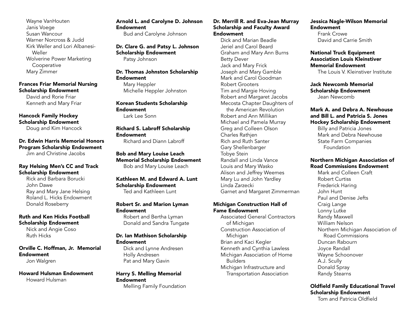Wayne VanHouten Janis Voege Susan Wancour Warner Norcross & Judd Kirk Weller and Lori Albanesi- Weller Wolverine Power Marketing **Cooperative** Mary Zimmer

#### Frances Friar Memorial Nursing Scholarship Endowment

David and Rorie Friar Kenneth and Mary Friar

# Hancock Family Hockey Scholarship Endowment

Doug and Kim Hancock

### Dr. Edwin Harris Memorial Honors Program Scholarship Endowment

Jim and Christine Jacobs

#### Ray Helsing Men's CC and Track Scholarship Endowment

Rick and Barbara Borucki John Dawe Ray and Mary Jane Helsing Roland L. Hicks Endowment Donald Roseberry

#### Ruth and Ken Hicks Football Scholarship Endowment

Nick and Angie Coso Ruth Hicks

Orville C. Hoffman, Jr. Memorial Endowment Jon Walgren

#### Howard Hulsman Endowment Howard Hulsman

#### Arnold L. and Carolyne D. Johnson Endowment Bud and Carolyne Johnson

#### Dr. Clare G. and Patsy L. Johnson Scholarship Endowment Patsy Johnson

#### Dr. Thomas Johnston Scholarship Endowment

Mary Heppler Michelle Heppler Johnston

#### Korean Students Scholarship Endowment Lark Lee Sonn

#### Richard S. Labroff Scholarship Endowment Richard and Diann Labroff

Bob and Mary Louise Leach Memorial Scholarship Endowment Bob and Mary Louise Leach

# Kathleen M. and Edward A. Lunt Scholarship Endowment

Ted and Kathleen Lunt

#### Robert Sr. and Marion Lyman Endowment

Robert and Bertha Lyman Donald and Sandra Tungate

#### Dr. Ian Mathison Scholarship Endowment

Dick and Lynne Andresen Holly Andresen Pat and Mary Gavin

# Harry S. Melling Memorial Endowment

Melling Family Foundation

#### Dr. Merrill R. and Eva-Jean Murray Scholarship and Faculty Award Endowment

Dick and Marian Beadle Jeriel and Carol Beard Graham and Mary Ann Burns Betty Dever Jack and Mary Frick Joseph and Mary Gamble Mark and Carol Goodman Robert Grooters Tim and Margie Hoving Robert and Margaret Jacobs Mecosta Chapter Daughters of the American Revolution Robert and Ann Millikan Michael and Pamela Murray Greg and Colleen Olson Charles Rathjen Rich and Ruth Santer Gary Shellenbarger Tobye Stein Randall and Linda Vance Louis and Mary Wasko Alison and Jeffrey Weemes Mary Lu and John Yardley Linda Zarzecki Garnet and Margaret Zimmerman

#### Michigan Construction Hall of Fame Endowment

Associated General Contractors of Michigan Construction Association of **Michigan** Brian and Kaci Kegler Kenneth and Cynthia Lawless Michigan Association of Home **Builders** Michigan Infrastructure and Transportation Association

#### Jessica Nagle-Wilson Memorial Endowment Frank Crowe

David and Carrie Smith

#### National Truck Equipment Association Louis Kleinstiver Memorial Endowment

The Louis V. Kleinstiver Institute

# Jack Newcomb Memorial Scholarship Endowment

Jean Newcomb

#### Mark A. and Debra A. Newhouse and Bill L. and Patricia S. Jones Hockey Scholarship Endowment

Billy and Patricia Jones Mark and Debra Newhouse State Farm Companies Foundation

#### Northern Michigan Association of Road Commissions Endowment

Mark and Colleen Craft Robert Curtiss Frederick Haring John Hunt Paul and Denise Jefts Craig Lange Lonny Lutke Randy Maxwell William Nelson Northern Michigan Association of Road Commissions Duncan Rabourn Joyce Randall Wayne Schoonover A.J. Scully Donald Spray Randy Stearns

# Oldfield Family Educational Travel Scholarship Endowment

Tom and Patricia Oldfield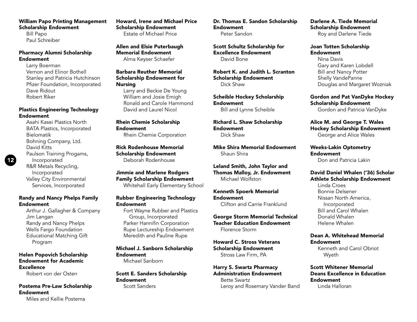#### William Papo Printing Management Scholarship Endowment

Bill Papo Paul Schreiber

#### Pharmacy Alumni Scholarship Endowment

Larry Boerman Vernon and Elinor Bothell Stanley and Patricia Hutchinson Pfizer Foundation, Incorporated Dave Ridout Robert Riker

#### Plastics Engineering Technology Endowment

Asahi Kasei Plastics North BATA Plastics, Incorporated Bielomatik Bohning Company, Ltd. David Kitts Paulson Training Progams, Incorporated R&R Metals Recycling, Incorporated Valley City Environmental Services, Incorporated

12

#### Randy and Nancy Phelps Family Endowment

Arthur J. Gallagher & Company Jim Langan Randy and Nancy Phelps Wells Fargo Foundation Educational Matching Gift Program

#### Helen Popovich Scholarship Endowment for Academic **Excellence**

Robert von der Osten

#### Postema Pre-Law Scholarship Endowment

Miles and Kellie Postema

Howard, Irene and Michael Price Scholarship Endowment Estate of Michael Price

Allen and Elsie Puterbaugh Memorial Endowment Alma Keyser Schaefer

#### Barbara Reuther Memorial Scholarship Endowment for Nursing

 Larry and Beckie De Young William and Josie Emigh Ronald and Carole Hammond David and Laurel Nicol

#### Rhein Chemie Scholarship Endowment Rhein Chemie Corporation

Rick Rodenhouse Memorial Scholarship Endowment

Deborah Rodenhouse

#### Jimmie and Marlene Rodgers Family Scholarship Endowment

Whitehall Early Elementary School

#### Rubber Engineering Technology Endowment

 Fort Wayne Rubber and Plastics Group, Incorporated Parker Hannifin Corporation Rupe Lectureship Endowment Meredith and Pauline Rupe

#### Michael J. Sanborn Scholarship Endowment Michael Sanborn

Scott E. Sanders Scholarship Endowment Scott Sanders

Dr. Thomas E. Sandon Scholarship Endowment Peter Sandon

Scott Schultz Scholarship for Excellence Endowment David Bone

Robert K. and Judith L. Scranton Scholarship Endowment Dick Shaw

Scheible Hockey Scholarship Endowment Bill and Lynne Scheible

Richard L. Shaw Scholarship Endowment Dick Shaw

Mike Shira Memorial Endowment Shaun Shira

Leland Smith, John Taylor and Thomas Malloy, Jr. Endowment Michael Wolfston

Kenneth Spoerk Memorial Endowment Clifton and Carrie Franklund

#### George Storm Memorial Technical Teacher Education Endowment Florence Storm

Howard C. Stross Veterans Scholarship Endowment Stross Law Firm, PA

Harry S. Swartz Pharmacy Administration Endowment Bette Swartz Leroy and Rosemary Vander Band Darlene A. Tiede Memorial Scholarship Endowment Roy and Darlene Tiede

#### Joan Totten Scholarship Endowment

 Nina Davis Gary and Karen Lobdell Bill and Nancy Potter Shelly VandePanne Douglas and Margaret Wozniak

#### Gordon and Pat VanDyke Hockey Scholarship Endowment

Gordon and Patricia VanDyke

#### Alice M. and George T. Wales Hockey Scholarship Endowment George and Alice Wales

Weeks-Lakin Optometry Endowment

Don and Patricia Lakin

#### David Daniel Whalen ('36) Scholar Athlete Scholarship Endowment

 Linda Croes Bonnie Delsener Nissan North America, Incorporated Bill and Carol Whalen Donald Whalen Helene Whalen

#### Dean A. Whitehead Memorial Endowment

 Kenneth and Carol Obriot Wyeth

#### Scott Whitener Memorial Deans Excellence in Education Endowment Linda Halloran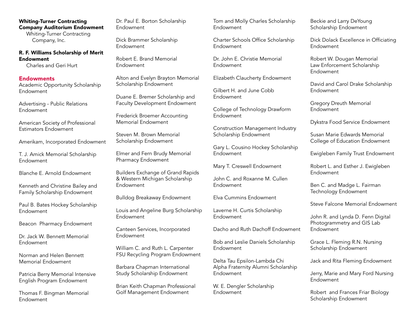Whiting-Turner Contracting Company Auditorium Endowment Whiting-Turner Contracting Company, Inc.

R. F. Williams Scholarship of Merit Endowment

Charles and Geri Hurt

#### **Endowments**

Academic Opportunity Scholarship Endowment

Advertising - Public Relations Endowment

American Society of Professional Estimators Endowment

Amerikam, Incorporated Endowment

T. J. Amick Memorial Scholarship Endowment

Blanche E. Arnold Endowment

Kenneth and Christine Bailey and Family Scholarship Endowment

Paul B. Bates Hockey Scholarship Endowment

Beacon Pharmacy Endowment

Dr. Jack W. Bennett Memorial Endowment

Norman and Helen Bennett Memorial Endowment

Patricia Berry Memorial Intensive English Program Endowment

Thomas F. Bingman Memorial Endowment

Dr. Paul E. Borton Scholarship Endowment

Dick Brammer Scholarship Endowment

Robert E. Brand Memorial Endowment

Alton and Evelyn Brayton Memorial Scholarship Endowment

Duane E. Bremer Scholarship and Faculty Development Endowment

Frederick Broemer Accounting Memorial Endowment

Steven M. Brown Memorial Scholarship Endowment

Elmer and Fern Brudy Memorial Pharmacy Endowment

Builders Exchange of Grand Rapids & Western Michigan Scholarship Endowment

Bulldog Breakaway Endowment

Louis and Angeline Burg Scholarship Endowment

Canteen Services, Incorporated Endowment

William C. and Ruth L. Carpenter FSU Recycling Program Endowment

Barbara Chapman International Study Scholarship Endowment

Brian Keith Chapman Professional Golf Management Endowment

Tom and Molly Charles Scholarship Endowment

Charter Schools Office Scholarship Endowment

Dr. John E. Christie Memorial Endowment

Elizabeth Claucherty Endowment

Gilbert H. and June Cobb Endowment

College of Technology Drawform Endowment

Construction Management Industry Scholarship Endowment

Gary L. Cousino Hockey Scholarship Endowment

Mary T. Creswell Endowment

John C. and Roxanne M. Cullen Endowment

Elva Cummins Endowment

Laverne H. Curtis Scholarship Endowment

Dacho and Ruth Dachoff Endowment

Bob and Leslie Daniels Scholarship Endowment

Delta Tau Epsilon-Lambda Chi Alpha Fraternity Alumni Scholarship Endowment

W. E. Dengler Scholarship Endowment

Beckie and Larry DeYoung Scholarship Endowment

Dick Dolack Excellence in Officiating Endowment

Robert W. Dougan Memorial Law Enforcement Scholarship Endowment

David and Carol Drake Scholarship Endowment

Gregory Dreuth Memorial Endowment

Dykstra Food Service Endowment

Susan Marie Edwards Memorial College of Education Endowment

Ewigleben Family Trust Endowment

Robert L. and Esther J. Ewigleben Endowment

Ben C. and Madge L. Fairman Technology Endowment

Steve Falcone Memorial Endowment

John R. and Lynda D. Fenn Digital Photogrammetry and GIS Lab Endowment

Grace L. Fleming R.N. Nursing Scholarship Endowment

Jack and Rita Fleming Endowment

Jerry, Marie and Mary Ford Nursing Endowment

Robert and Frances Friar Biology Scholarship Endowment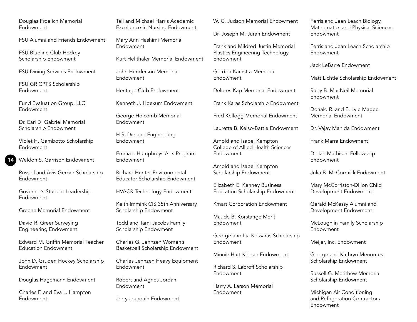Douglas Froelich Memorial Endowment

FSU Alumni and Friends Endowment

FSU Blueline Club Hockey Scholarship Endowment

FSU Dining Services Endowment

FSU GR CPTS Scholarship Endowment

Fund Evaluation Group, LLC Endowment

Dr. Earl D. Gabriel Memorial Scholarship Endowment

Violet H. Gambotto Scholarship Endowment

14

Weldon S. Garrison Endowment

Russell and Avis Gerber Scholarship Endowment

Governor's Student Leadership Endowment

Greene Memorial Endowment

David R. Greer Surveying Engineering Endowment

Edward M. Griffin Memorial Teacher Education Endowment

John D. Gruden Hockey Scholarship Endowment

Douglas Hagemann Endowment

Charles F. and Eva L. Hampton Endowment

Tali and Michael Harris Academic Excellence in Nursing Endowment

Mary Ann Hashimi Memorial Endowment

Kurt Hellthaler Memorial Endowment

John Henderson Memorial Endowment

Heritage Club Endowment

Kenneth J. Hoexum Endowment

George Holcomb Memorial Endowment

H.S. Die and Engineering Endowment

Emma I. Humphreys Arts Program Endowment

Richard Hunter Environmental Educator Scholarship Endowment

HVACR Technology Endowment

Keith Immink CIS 35th Anniversary Scholarship Endowment

Todd and Tami Jacobs Family Scholarship Endowment

Charles G. Jehnzen Women's Basketball Scholarship Endowment

Charles Jehnzen Heavy Equipment Endowment

Robert and Agnes Jordan Endowment

Jerry Jourdain Endowment

W. C. Judson Memorial Endowment

Dr. Joseph M. Juran Endowment

Frank and Mildred Justin Memorial Plastics Engineering Technology Endowment

Gordon Kamstra Memorial Endowment

Delores Kap Memorial Endowment

Frank Karas Scholarship Endowment

Fred Kellogg Memorial Endowment

Lauretta B. Kelso-Battle Endowment

Arnold and Isabel Kempton College of Allied Health Sciences Endowment

Arnold and Isabel Kempton Scholarship Endowment

Elizabeth E. Kenney Business Education Scholarship Endowment

Kmart Corporation Endowment

Maude B. Korstange Merit Endowment

George and Lia Kossaras Scholarship Endowment

Minnie Hart Krieser Endowment

Richard S. Labroff Scholarship Endowment

Harry A. Larson Memorial Endowment

Ferris and Jean Leach Biology, Mathematics and Physical Sciences Endowment

Ferris and Jean Leach Scholarship Endowment

Jack LeBarre Endowment

Matt Lichtle Scholarship Endowment

Ruby B. MacNeil Memorial Endowment

Donald R. and E. Lyle Magee Memorial Endowment

Dr. Vajay Mahida Endowment

Frank Marra Endowment

Dr. Ian Mathison Fellowship Endowment

Julia B. McCormick Endowment

Mary McCorriston-Dillon Child Development Endowment

Gerald McKessy Alumni and Development Endowment

McLoughlin Family Scholarship Endowment

Meijer, Inc. Endowment

George and Kathryn Menoutes Scholarship Endowment

Russell G. Merithew Memorial Scholarship Endowment

Michigan Air Conditioning and Refrigeration Contractors Endowment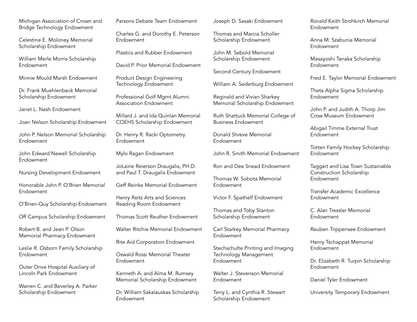Michigan Association of Crown and Bridge Technology Endowment

Celestine E. Moloney Memorial Scholarship Endowment

William Merle Morris Scholarship Endowment

Minnie Mould Marsh Endowment

Dr. Frank Muehlenbeck Memorial Scholarship Endowment

Janet L. Nash Endowment

Joan Nelson Scholarship Endowment

John P. Nelson Memorial Scholarship Endowment

John Edward Newell Scholarship Endowment

Nursing Development Endowment

Honorable John P. O'Brien Memorial Endowment

O'Brien-Quy Scholarship Endowment

Off Campus Scholarship Endowment

Robert B. and Jean P. Olson Memorial Pharmacy Endowment

Leslie R. Osborn Family Scholarship Endowment

Outer Drive Hospital Auxiliary of Lincoln Park Endowment

Warren C. and Beverley A. Parker Scholarship Endowment

Parsons Debate Team Endowment

Charles G. and Dorothy E. Peterson Endowment

Plastics and Rubber Endowment

David P. Prior Memorial Endowment

Product Design Engineering Technology Endowment

Professional Golf Mgmt Alumni Association Endowment

Millard J. and Ida Quinlan Memorial COEHS Scholarship Endowment

Dr. Henry R. Racki Optometry Endowment

Mylo Ragan Endowment

JoLaine Reierson Draugalis, PH.D. and Paul T. Draugalis Endowment

Geff Reinke Memorial Endowment

Henry Reitz Arts and Sciences Reading Room Endowment

Thomas Scott Reuther Endowment

Walter Ritchie Memorial Endowment

Rite Aid Corporation Endowment

Oswald Rossi Memorial Theater Endowment

Kenneth A. and Alma M. Rumsey Memorial Scholarship Endowment

Dr. William Sakalauskas Scholarship Endowment

Joseph D. Sasaki Endowment

Thomas and Marcia Scholler Scholarship Endowment

John M. Sebold Memorial Scholarship Endowment

Second Century Endowment

William A. Sederburg Endowment

Reginald and Vivian Sharkey Memorial Scholarship Endowment

Ruth Shattuck Memorial College of Business Endowment

Donald Shreve Memorial Endowment

John R. Smith Memorial Endowment

Ron and Dee Snead Endowment

Thomas W. Sobota Memorial Endowment

Victor F. Spathelf Endowment

Thomas and Toby Stanton Scholarship Endowment

Carl Starkey Memorial Pharmacy Endowment

Stechschulte Printing and Imaging Technology Management Endowment

Walter J. Stevenson Memorial Endowment

Terry L. and Cynthia R. Stewart Scholarship Endowment

Ronald Keith Strohkirch Memorial Endowment

Anna M. Szabunia Memorial Endowment

Masayoshi Tanaka Scholarship Endowment

Fred E. Taylor Memorial Endowment

Theta Alpha Sigma Scholarship Endowment

John P. and Judith A. Thorp Jim Crow Museum Endowment

Abigail Timme External Trust Endowment

Totten Family Hockey Scholarship Endowment

Taggart and Lisa Town Sustainable Construction Scholarship Endowment

Transfer Academic Excellence Endowment

C. Alan Tressler Memorial Endowment

Reuben Trippensee Endowment

Henry Tschappat Memorial Endowment

Dr. Elizabeth R. Turpin Scholarship Endowment

Daniel Tyler Endowment

University Temporary Endowment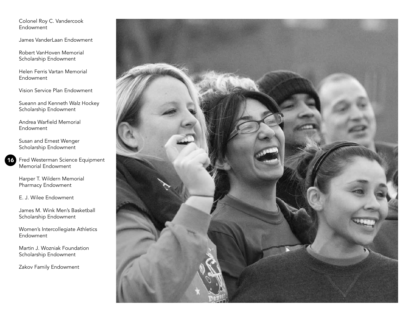Colonel Roy C. Vandercook Endowment

James VanderLaan Endowment

Robert VanHoven Memorial Scholarship Endowment

Helen Ferris Vartan Memorial Endowment

Vision Service Plan Endowment

Sueann and Kenneth Walz Hockey Scholarship Endowment

Andrea Warfield Memorial Endowment

Susan and Ernest Wenger Scholarship Endowment

Fred Westerman Science Equipment Memorial Endowment 16

> Harper T. Wildern Memorial Pharmacy Endowment

E. J. Wilee Endowment

James M. Wink Men's Basketball Scholarship Endowment

Women's Intercollegiate Athletics Endowment

Martin J. Wozniak Foundation Scholarship Endowment

Zakov Family Endowment

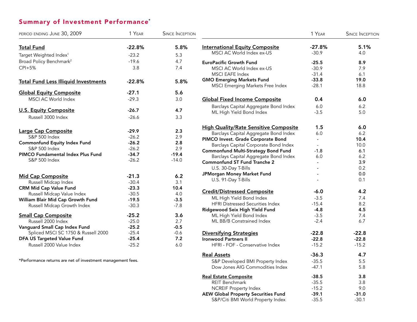# Summary of Investment Performance®

| PERIOD ENDING JUNE 30, 2009                                 | 1 YEAR   | <b>SINCE INCEPTION</b> |                                              | 1 YEAR         | <b>SINCE INCEPTION</b> |
|-------------------------------------------------------------|----------|------------------------|----------------------------------------------|----------------|------------------------|
| <b>Total Fund</b>                                           | $-22.8%$ | 5.8%                   | <b>International Equity Composite</b>        | $-27.8%$       | 5.1%                   |
| Target Weighted Index <sup>1</sup>                          | $-23.2$  | 5.3                    | MSCI AC World Index ex-US                    | $-30.9$        | 4.0                    |
| Broad Policy Benchmark <sup>2</sup>                         | $-19.6$  | 4.7                    | <b>EuroPacific Growth Fund</b>               | $-25.5$        | 8.9                    |
| $CPI+5%$                                                    | 3.8      | 7.4                    | MSCI AC World Index ex-US                    | $-30.9$        | 7.9                    |
|                                                             |          |                        | <b>MSCI EAFE Index</b>                       | $-31.4$        | 6.1                    |
|                                                             | $-22.8%$ | 5.8%                   | <b>GMO Emerging Markets Fund</b>             | $-33.8$        | 19.0                   |
| <b>Total Fund Less Illiquid Investments</b>                 |          |                        | MSCI Emerging Markets Free Index             | $-28.1$        | 18.8                   |
| <b>Global Equity Composite</b>                              | $-27.1$  | 5.6                    |                                              |                |                        |
| MSCI AC World Index                                         | $-29.3$  | 3.0                    | <b>Global Fixed Income Composite</b>         | 0.4            | 6.0                    |
|                                                             |          |                        | Barclays Capital Aggregate Bond Index        | 6.0            | 6.2                    |
| <b>U.S. Equity Composite</b>                                | $-26.7$  | 4.7                    | ML High Yield Bond Index                     | $-3.5$         | 5.0                    |
| Russell 3000 Index                                          | $-26.6$  | 3.3                    |                                              |                |                        |
|                                                             |          |                        | <b>High Quality/Rate Sensitive Composite</b> | 1.5            | 6.0                    |
| <b>Large Cap Composite</b>                                  | $-29.9$  | 2.3                    | Barclays Capital Aggregate Bond Index        | 6.0            | 6.2                    |
| <b>S&amp;P 500 Index</b>                                    | $-26.2$  | 2.9                    | PIMCO Invest. Grade Corporate Bond           |                | 10.4                   |
| <b>Commonfund Equity Index Fund</b>                         | $-26.2$  | 2.8                    | Barclays Capital Corporate Bond Index        | $\sim$         | 10.0                   |
| <b>S&amp;P 500 Index</b>                                    | $-26.2$  | 2.9                    | <b>Commonfund Multi-Strategy Bond Fund</b>   | $-1.8$         | 6.1                    |
| <b>PIMCO Fundamental Index Plus Fund</b>                    | $-34.7$  | $-19.4$                | Barclays Capital Aggregate Bond Index        | 6.0            | 6.2                    |
| <b>S&amp;P 500 Index</b>                                    | $-26.2$  | $-14.0$                | <b>Commonfund ST Fund Tranche 2</b>          | $\blacksquare$ | 3.9                    |
|                                                             |          |                        | U.S. 30-Day T-Bills                          |                | 0.2                    |
| <b>Mid Cap Composite</b>                                    | $-21.3$  | 6.2                    | JPMorgan Money Market Fund                   |                | 0.0                    |
| Russell Midcap Index                                        | $-30.4$  | 3.1                    | U.S. 91-Day T-Bills                          |                | 0.1                    |
| <b>CRM Mid Cap Value Fund</b>                               | $-23.3$  | 10.4                   |                                              |                |                        |
| Russell Midcap Value Index                                  | $-30.5$  | 4.0                    | <b>Credit/Distressed Composite</b>           | $-6.0$         | 4.2                    |
| William Blair Mid Cap Growth Fund                           | $-19.5$  | $-3.5$                 | ML High Yield Bond Index                     | $-3.5$         | 7.4                    |
| Russell Midcap Growth Index                                 | $-30.3$  | $-7.8$                 | <b>HFRI Distressed Securities Index</b>      | $-15.4$        | 8.2                    |
|                                                             |          |                        | Ridgewood Seix High Yield Fund               | $-4.8$         | 4.5                    |
| <b>Small Cap Composite</b>                                  | $-25.2$  | 3.6                    | ML High Yield Bond Index                     | $-3.5$         | 7.4                    |
| Russell 2000 Index                                          | $-25.0$  | 2.7                    | ML BB/B Constrained Index                    | $-2.4$         | 6.7                    |
| Vanguard Small Cap Index Fund                               | $-25.2$  | $-0.5$                 |                                              |                |                        |
| Spliced MSCI SC 1750 & Russell 2000                         | $-25.4$  | $-0.6$                 | <b>Diversifying Strategies</b>               | $-22.8$        | $-22.8$                |
| DFA US Targeted Value Fund                                  | $-25.4$  | 7.2                    | <b>Ironwood Partners II</b>                  | $-22.8$        | $-22.8$                |
| Russell 2000 Value Index                                    | $-25.2$  | 6.0                    | HFRI - FOF - Conservative Index              | $-15.2$        | $-15.2$                |
|                                                             |          |                        | <b>Real Assets</b>                           | $-36.3$        | 4.7                    |
| *Performance returns are net of investment management fees. |          |                        | S&P Developed BMI Property Index             | $-35.5$        | 5.5                    |
|                                                             |          |                        |                                              |                |                        |

| <b>Real Assets</b>                         | -36.3   | 4.7     |
|--------------------------------------------|---------|---------|
| S&P Developed BMI Property Index           | $-35.5$ | 5.5     |
| Dow Jones AIG Commodities Index            | $-47.1$ | 5.8     |
| <b>Real Estate Composite</b>               | $-38.5$ | 3.8     |
| <b>REIT Benchmark</b>                      | $-35.5$ | 3.8     |
| <b>NCREIF Property Index</b>               | $-15.2$ | 9.0     |
| <b>AEW Global Property Securities Fund</b> | $-39.1$ | $-31.0$ |
| S&P/Citi BMI World Property Index          | $-35.5$ | $-30.1$ |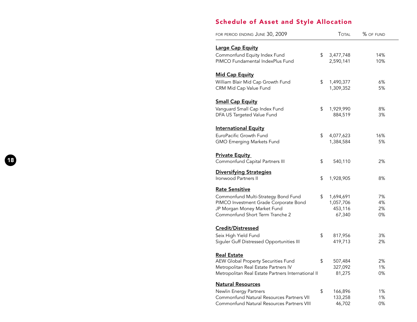# Schedule of Asset and Style Allocation

| FOR PERIOD ENDING JUNE 30, 2009                              | <b>TOTAL</b>    | % OF FUND |
|--------------------------------------------------------------|-----------------|-----------|
| <b>Large Cap Equity</b>                                      |                 |           |
| Commonfund Equity Index Fund                                 | \$<br>3,477,748 | 14%       |
| PIMCO Fundamental IndexPlus Fund                             | 2,590,141       | 10%       |
| <b>Mid Cap Equity</b>                                        |                 |           |
| William Blair Mid Cap Growth Fund                            | \$<br>1,490,377 | 6%        |
| CRM Mid Cap Value Fund                                       | 1,309,352       | 5%        |
| <b>Small Cap Equity</b>                                      |                 |           |
| Vanguard Small Cap Index Fund                                | \$<br>1,929,990 | 8%        |
| DFA US Targeted Value Fund                                   | 884,519         | 3%        |
| <b>International Equity</b>                                  |                 |           |
| EuroPacific Growth Fund                                      | \$<br>4,077,623 | 16%       |
| <b>GMO Emerging Markets Fund</b>                             | 1,384,584       | 5%        |
| <b>Private Equity</b>                                        |                 |           |
| Commonfund Capital Partners III                              | \$<br>540,110   | 2%        |
| <b>Diversifying Strategies</b>                               | \$              |           |
| Ironwood Partners II                                         | 1,928,905       | 8%        |
| <b>Rate Sensitive</b><br>Commonfund Multi-Strategy Bond Fund | \$<br>1,694,691 | 7%        |
| PIMCO Investment Grade Corporate Bond                        | 1,057,706       | 4%        |
| JP Morgan Money Market Fund                                  | 453,116         | 2%        |
| Commonfund Short Term Tranche 2                              | 67,340          | 0%        |
| Credit/Distressed                                            |                 |           |
| Seix High Yield Fund                                         | \$<br>817,956   | 3%        |
| Siguler Guff Distressed Opportunities III                    | 419,713         | 2%        |
| <b>Real Estate</b>                                           |                 |           |
| AEW Global Property Securities Fund                          | \$<br>507,484   | 2%        |
| Metropolitan Real Estate Partners IV                         | 327,092         | 1%        |
| Metropolitan Real Estate Partners International II           | 81,275          | 0%        |
| <b>Natural Resources</b>                                     |                 |           |
| Newlin Energy Partners                                       | \$<br>166,896   | 1%        |
| Commonfund Natural Resources Partners VII                    | 133,258         | 1%        |
| Commonfund Natural Resources Partners VIII                   | 46,702          | 0%        |

18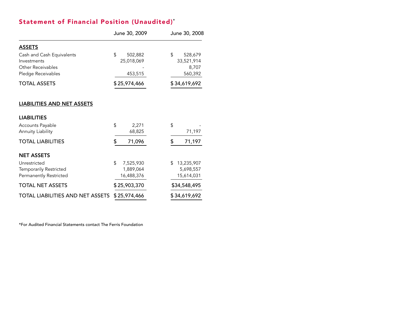# Statement of Financial Position (Unaudited) \*

|                                                                                     | June 30, 2009                              | June 30, 2008                                   |  |
|-------------------------------------------------------------------------------------|--------------------------------------------|-------------------------------------------------|--|
| <b>ASSETS</b>                                                                       |                                            |                                                 |  |
| Cash and Cash Equivalents<br>Investments<br>Other Receivables<br>Pledge Receivables | \$<br>502,882<br>25,018,069<br>453,515     | \$<br>528,679<br>33,521,914<br>8,707<br>560,392 |  |
| <b>TOTAL ASSETS</b>                                                                 | \$25,974,466                               | \$34,619,692                                    |  |
| <b>LIABILITIES AND NET ASSETS</b>                                                   |                                            |                                                 |  |
| <b>LIABILITIES</b>                                                                  |                                            |                                                 |  |
| Accounts Payable<br>Annuity Liability                                               | \$<br>2,271<br>68,825                      | \$<br>71,197                                    |  |
| <b>TOTAL LIABILITIES</b>                                                            | \$<br>71,096                               | \$<br>71,197                                    |  |
| <b>NET ASSETS</b>                                                                   |                                            |                                                 |  |
| Unrestricted<br><b>Temporarily Restricted</b><br>Permanently Restricted             | \$<br>7,525,930<br>1,889,064<br>16,488,376 | 13,235,907<br>\$.<br>5,698,557<br>15,614,031    |  |
| <b>TOTAL NET ASSETS</b>                                                             | \$25,903,370                               | \$34,548,495                                    |  |
| <b>TOTAL LIABILITIES AND NET ASSETS</b>                                             | \$25,974,466                               | \$34,619,692                                    |  |

\*For Audited Financial Statements contact The Ferris Foundation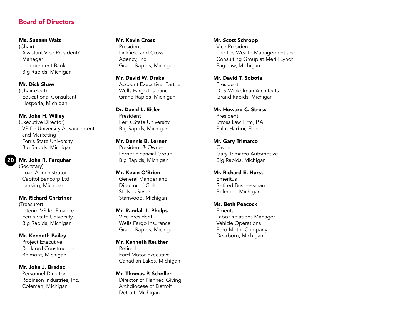# Board of Directors

#### Ms. Sueann Walz

(Chair) Assistant Vice President/ Manager Independent Bank Big Rapids, Michigan

Mr. Dick Shaw (Chair-elect) Educational Consultant Hesperia, Michigan

#### Mr. John H. Willey

(Executive Director) VP for University Advancement and Marketing Ferris State University Big Rapids, Michigan



#### Mr. John R. Farquhar

(Secretary) Loan Administrator Capitol Bancorp Ltd. Lansing, Michigan

#### Mr. Richard Christner

(Treasurer) Interim VP for Finance Ferris State University Big Rapids, Michigan

#### Mr. Kenneth Bailey

Project Executive Rockford Construction Belmont, Michigan

#### Mr. John J. Bradac

Personnel Director Robinson Industries, Inc. Coleman, Michigan

#### Mr. Kevin Cross

President Linkfield and Cross Agency, Inc. Grand Rapids, Michigan

#### Mr. David W. Drake

Account Executive, Partner Wells Fargo Insurance Grand Rapids, Michigan

#### Dr. David L. Eisler President

Ferris State University Big Rapids, Michigan

Mr. Dennis B. Lerner President & Owner Lerner Financial Group Big Rapids, Michigan

#### Mr. Kevin O'Brien General Manger and

Director of Golf St. Ives Resort Stanwood, Michigan

#### Mr. Randall L. Phelps Vice President

Wells Fargo Insurance Grand Rapids, Michigan

#### Mr. Kenneth Reuther Retired Ford Motor Executive Canadian Lakes, Michigan

#### Mr. Thomas P. Scholler

Director of Planned Giving Archdiocese of Detroit Detroit, Michigan

#### Mr. Scott Schropp

Vice President The Iles Wealth Management and Consulting Group at Merill Lynch Saginaw, Michigan

#### Mr. David T. Sobota

President DTS-Winkelman Architects Grand Rapids, Michigan

#### Mr. Howard C. Stross

President Stross Law Firm, P.A. Palm Harbor, Florida

#### Mr. Gary Trimarco Owner

Gary Trimarco Automotive Big Rapids, Michigan

#### Mr. Richard E. Hurst Emeritus

Retired Businessman Belmont, Michigan

#### Ms. Beth Peacock

Emerita Labor Relations Manager Vehicle Operations Ford Motor Company Dearborn, Michigan